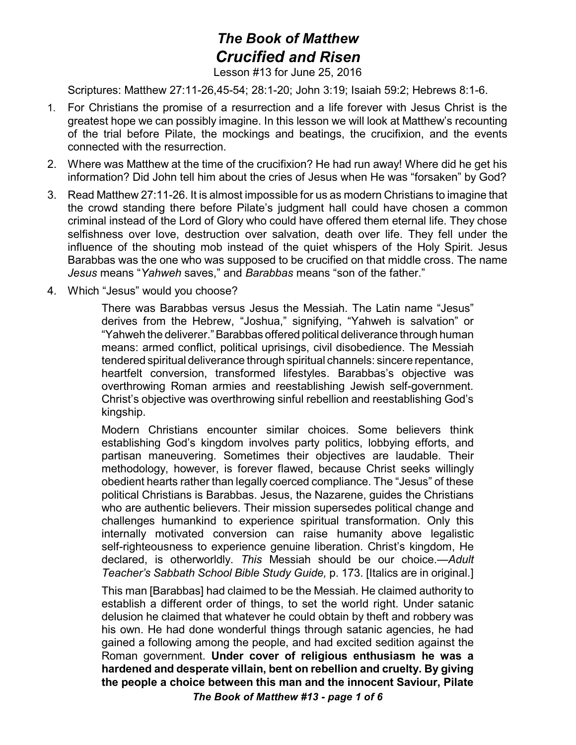## *The Book of Matthew Crucified and Risen*

Lesson #13 for June 25, 2016

Scriptures: Matthew 27:11-26,45-54; 28:1-20; John 3:19; Isaiah 59:2; Hebrews 8:1-6.

- 1. For Christians the promise of a resurrection and a life forever with Jesus Christ is the greatest hope we can possibly imagine. In this lesson we will look at Matthew's recounting of the trial before Pilate, the mockings and beatings, the crucifixion, and the events connected with the resurrection.
- 2. Where was Matthew at the time of the crucifixion? He had run away! Where did he get his information? Did John tell him about the cries of Jesus when He was "forsaken" by God?
- 3. Read Matthew 27:11-26. It is almost impossible for us as modern Christians to imagine that the crowd standing there before Pilate's judgment hall could have chosen a common criminal instead of the Lord of Glory who could have offered them eternal life. They chose selfishness over love, destruction over salvation, death over life. They fell under the influence of the shouting mob instead of the quiet whispers of the Holy Spirit. Jesus Barabbas was the one who was supposed to be crucified on that middle cross. The name *Jesus* means "*Yahweh* saves," and *Barabbas* means "son of the father."
- 4. Which "Jesus" would you choose?

There was Barabbas versus Jesus the Messiah. The Latin name "Jesus" derives from the Hebrew, "Joshua," signifying, "Yahweh is salvation" or "Yahweh the deliverer."Barabbas offered political deliverance through human means: armed conflict, political uprisings, civil disobedience. The Messiah tendered spiritual deliverance through spiritual channels: sincere repentance, heartfelt conversion, transformed lifestyles. Barabbas's objective was overthrowing Roman armies and reestablishing Jewish self-government. Christ's objective was overthrowing sinful rebellion and reestablishing God's kingship.

Modern Christians encounter similar choices. Some believers think establishing God's kingdom involves party politics, lobbying efforts, and partisan maneuvering. Sometimes their objectives are laudable. Their methodology, however, is forever flawed, because Christ seeks willingly obedient hearts rather than legally coerced compliance. The "Jesus" of these political Christians is Barabbas. Jesus, the Nazarene, guides the Christians who are authentic believers. Their mission supersedes political change and challenges humankind to experience spiritual transformation. Only this internally motivated conversion can raise humanity above legalistic self-righteousness to experience genuine liberation. Christ's kingdom, He declared, is otherworldly. *This* Messiah should be our choice.—*Adult Teacher's Sabbath School Bible Study Guide,* p. 173. [Italics are in original.]

This man [Barabbas] had claimed to be the Messiah. He claimed authority to establish a different order of things, to set the world right. Under satanic delusion he claimed that whatever he could obtain by theft and robbery was his own. He had done wonderful things through satanic agencies, he had gained a following among the people, and had excited sedition against the Roman government. **Under cover of religious enthusiasm he was a hardened and desperate villain, bent on rebellion and cruelty. By giving the people a choice between this man and the innocent Saviour, Pilate**

*The Book of Matthew #13 - page 1 of 6*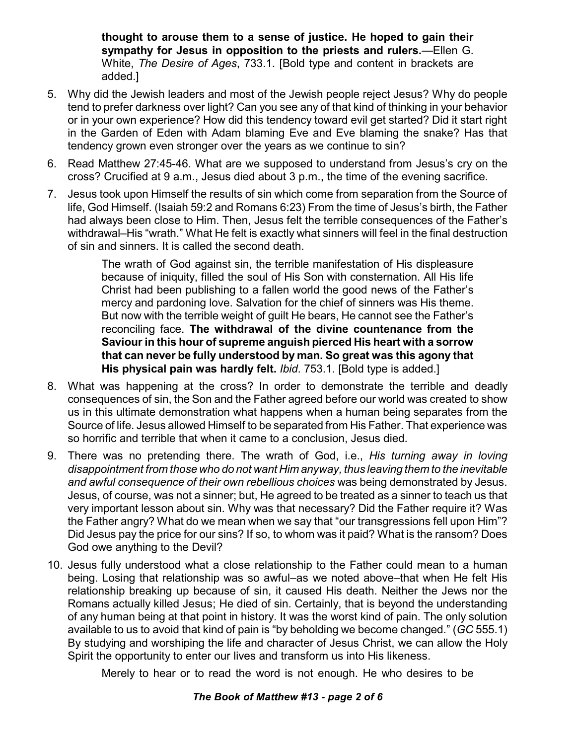**thought to arouse them to a sense of justice. He hoped to gain their sympathy for Jesus in opposition to the priests and rulers.**—Ellen G. White, *The Desire of Ages*, 733.1. [Bold type and content in brackets are added.]

- 5. Why did the Jewish leaders and most of the Jewish people reject Jesus? Why do people tend to prefer darkness over light? Can you see any of that kind of thinking in your behavior or in your own experience? How did this tendency toward evil get started? Did it start right in the Garden of Eden with Adam blaming Eve and Eve blaming the snake? Has that tendency grown even stronger over the years as we continue to sin?
- 6. Read Matthew 27:45-46. What are we supposed to understand from Jesus's cry on the cross? Crucified at 9 a.m., Jesus died about 3 p.m., the time of the evening sacrifice.
- 7. Jesus took upon Himself the results of sin which come from separation from the Source of life, God Himself. (Isaiah 59:2 and Romans 6:23) From the time of Jesus's birth, the Father had always been close to Him. Then, Jesus felt the terrible consequences of the Father's withdrawal–His "wrath." What He felt is exactly what sinners will feel in the final destruction of sin and sinners. It is called the second death.

The wrath of God against sin, the terrible manifestation of His displeasure because of iniquity, filled the soul of His Son with consternation. All His life Christ had been publishing to a fallen world the good news of the Father's mercy and pardoning love. Salvation for the chief of sinners was His theme. But now with the terrible weight of guilt He bears, He cannot see the Father's reconciling face. **The withdrawal of the divine countenance from the Saviour in this hour of supreme anguish pierced His heart with a sorrow that can never be fully understood by man. So great was this agony that His physical pain was hardly felt.** *Ibid*. 753.1. [Bold type is added.]

- 8. What was happening at the cross? In order to demonstrate the terrible and deadly consequences of sin, the Son and the Father agreed before our world was created to show us in this ultimate demonstration what happens when a human being separates from the Source of life. Jesus allowed Himself to be separated from His Father. That experience was so horrific and terrible that when it came to a conclusion, Jesus died.
- 9. There was no pretending there. The wrath of God, i.e., *His turning away in loving disappointment from those who do not want Him anyway, thus leaving them to the inevitable and awful consequence of their own rebellious choices* was being demonstrated by Jesus. Jesus, of course, was not a sinner; but, He agreed to be treated as a sinner to teach us that very important lesson about sin. Why was that necessary? Did the Father require it? Was the Father angry? What do we mean when we say that "our transgressions fell upon Him"? Did Jesus pay the price for our sins? If so, to whom was it paid? What is the ransom? Does God owe anything to the Devil?
- 10. Jesus fully understood what a close relationship to the Father could mean to a human being. Losing that relationship was so awful–as we noted above–that when He felt His relationship breaking up because of sin, it caused His death. Neither the Jews nor the Romans actually killed Jesus; He died of sin. Certainly, that is beyond the understanding of any human being at that point in history. It was the worst kind of pain. The only solution available to us to avoid that kind of pain is "by beholding we become changed." (*GC* 555.1) By studying and worshiping the life and character of Jesus Christ, we can allow the Holy Spirit the opportunity to enter our lives and transform us into His likeness.

Merely to hear or to read the word is not enough. He who desires to be

## *The Book of Matthew #13 - page 2 of 6*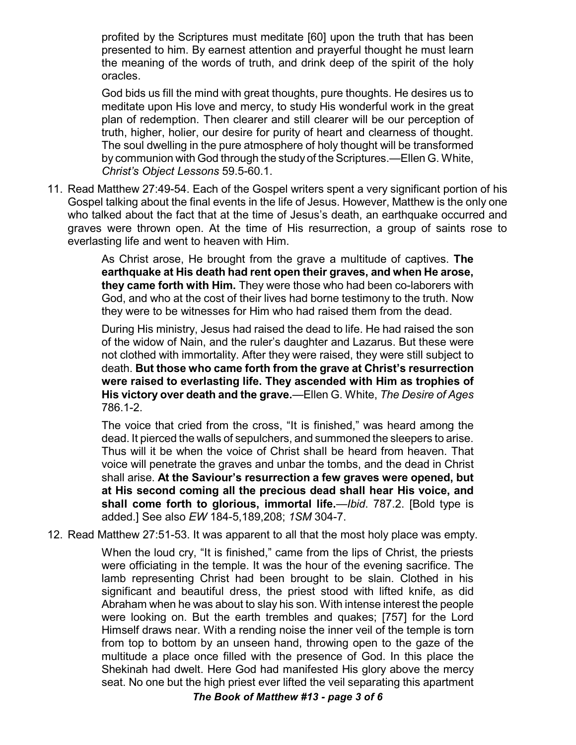profited by the Scriptures must meditate [60] upon the truth that has been presented to him. By earnest attention and prayerful thought he must learn the meaning of the words of truth, and drink deep of the spirit of the holy oracles.

God bids us fill the mind with great thoughts, pure thoughts. He desires us to meditate upon His love and mercy, to study His wonderful work in the great plan of redemption. Then clearer and still clearer will be our perception of truth, higher, holier, our desire for purity of heart and clearness of thought. The soul dwelling in the pure atmosphere of holy thought will be transformed by communion with God through the study of the Scriptures.—Ellen G. White, *Christ's Object Lessons* 59.5-60.1.

11. Read Matthew 27:49-54. Each of the Gospel writers spent a very significant portion of his Gospel talking about the final events in the life of Jesus. However, Matthew is the only one who talked about the fact that at the time of Jesus's death, an earthquake occurred and graves were thrown open. At the time of His resurrection, a group of saints rose to everlasting life and went to heaven with Him.

> As Christ arose, He brought from the grave a multitude of captives. **The earthquake at His death had rent open their graves, and when He arose, they came forth with Him.** They were those who had been co-laborers with God, and who at the cost of their lives had borne testimony to the truth. Now they were to be witnesses for Him who had raised them from the dead.

> During His ministry, Jesus had raised the dead to life. He had raised the son of the widow of Nain, and the ruler's daughter and Lazarus. But these were not clothed with immortality. After they were raised, they were still subject to death. **But those who came forth from the grave at Christ's resurrection were raised to everlasting life. They ascended with Him as trophies of His victory over death and the grave.**—Ellen G. White, *The Desire of Ages* 786.1-2.

> The voice that cried from the cross, "It is finished," was heard among the dead. It pierced the walls of sepulchers, and summoned the sleepers to arise. Thus will it be when the voice of Christ shall be heard from heaven. That voice will penetrate the graves and unbar the tombs, and the dead in Christ shall arise. **At the Saviour's resurrection a few graves were opened, but at His second coming all the precious dead shall hear His voice, and shall come forth to glorious, immortal life.**—*Ibid*. 787.2. [Bold type is added.] See also *EW* 184-5,189,208; *1SM* 304-7.

12. Read Matthew 27:51-53. It was apparent to all that the most holy place was empty.

When the loud cry, "It is finished," came from the lips of Christ, the priests were officiating in the temple. It was the hour of the evening sacrifice. The lamb representing Christ had been brought to be slain. Clothed in his significant and beautiful dress, the priest stood with lifted knife, as did Abraham when he was about to slay his son. With intense interest the people were looking on. But the earth trembles and quakes; [757] for the Lord Himself draws near. With a rending noise the inner veil of the temple is torn from top to bottom by an unseen hand, throwing open to the gaze of the multitude a place once filled with the presence of God. In this place the Shekinah had dwelt. Here God had manifested His glory above the mercy seat. No one but the high priest ever lifted the veil separating this apartment

*The Book of Matthew #13 - page 3 of 6*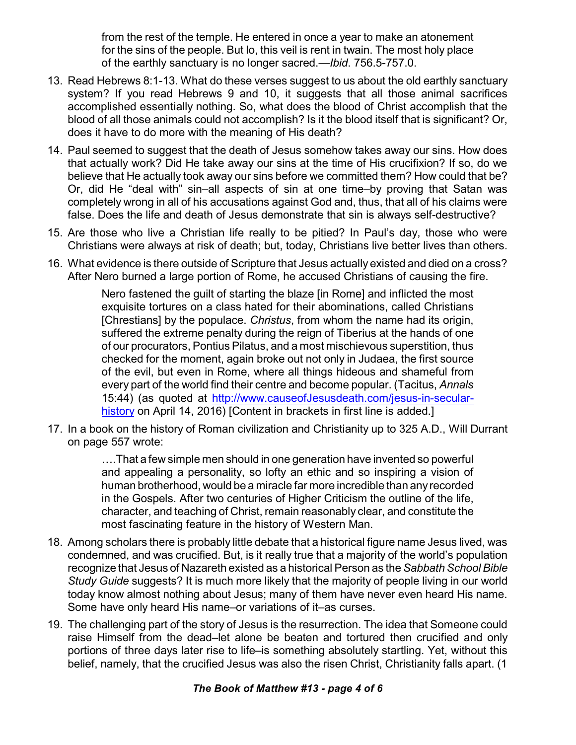from the rest of the temple. He entered in once a year to make an atonement for the sins of the people. But lo, this veil is rent in twain. The most holy place of the earthly sanctuary is no longer sacred.—*Ibid*. 756.5-757.0.

- 13. Read Hebrews 8:1-13. What do these verses suggest to us about the old earthly sanctuary system? If you read Hebrews 9 and 10, it suggests that all those animal sacrifices accomplished essentially nothing. So, what does the blood of Christ accomplish that the blood of all those animals could not accomplish? Is it the blood itself that is significant? Or, does it have to do more with the meaning of His death?
- 14. Paul seemed to suggest that the death of Jesus somehow takes away our sins. How does that actually work? Did He take away our sins at the time of His crucifixion? If so, do we believe that He actually took away our sins before we committed them? How could that be? Or, did He "deal with" sin–all aspects of sin at one time–by proving that Satan was completely wrong in all of his accusations against God and, thus, that all of his claims were false. Does the life and death of Jesus demonstrate that sin is always self-destructive?
- 15. Are those who live a Christian life really to be pitied? In Paul's day, those who were Christians were always at risk of death; but, today, Christians live better lives than others.
- 16. What evidence is there outside of Scripture that Jesus actually existed and died on a cross? After Nero burned a large portion of Rome, he accused Christians of causing the fire.

Nero fastened the guilt of starting the blaze [in Rome] and inflicted the most exquisite tortures on a class hated for their abominations, called Christians [Chrestians] by the populace. *Christus*, from whom the name had its origin, suffered the extreme penalty during the reign of Tiberius at the hands of one of our procurators, Pontius Pilatus, and a most mischievous superstition, thus checked for the moment, again broke out not only in Judaea, the first source of the evil, but even in Rome, where all things hideous and shameful from every part of the world find their centre and become popular. (Tacitus, *Annals* 15:44) (as quoted at [http://www.causeofJesusdeath.com/jesus-in-secular](http://www.causeofJesusdeath.com/jesus-in-secular-history)[history](http://www.causeofJesusdeath.com/jesus-in-secular-history) on April 14, 2016) [Content in brackets in first line is added.]

17. In a book on the history of Roman civilization and Christianity up to 325 A.D., Will Durrant on page 557 wrote:

> ….That a few simple men should in one generation have invented so powerful and appealing a personality, so lofty an ethic and so inspiring a vision of human brotherhood, would be a miracle far more incredible than anyrecorded in the Gospels. After two centuries of Higher Criticism the outline of the life, character, and teaching of Christ, remain reasonably clear, and constitute the most fascinating feature in the history of Western Man.

- 18. Among scholars there is probably little debate that a historical figure name Jesus lived, was condemned, and was crucified. But, is it really true that a majority of the world's population recognize that Jesus of Nazareth existed as a historical Person as the Sabbath School Bible *Study Guide* suggests? It is much more likely that the majority of people living in our world today know almost nothing about Jesus; many of them have never even heard His name. Some have only heard His name–or variations of it–as curses.
- 19. The challenging part of the story of Jesus is the resurrection. The idea that Someone could raise Himself from the dead–let alone be beaten and tortured then crucified and only portions of three days later rise to life–is something absolutely startling. Yet, without this belief, namely, that the crucified Jesus was also the risen Christ, Christianity falls apart. (1

## *The Book of Matthew #13 - page 4 of 6*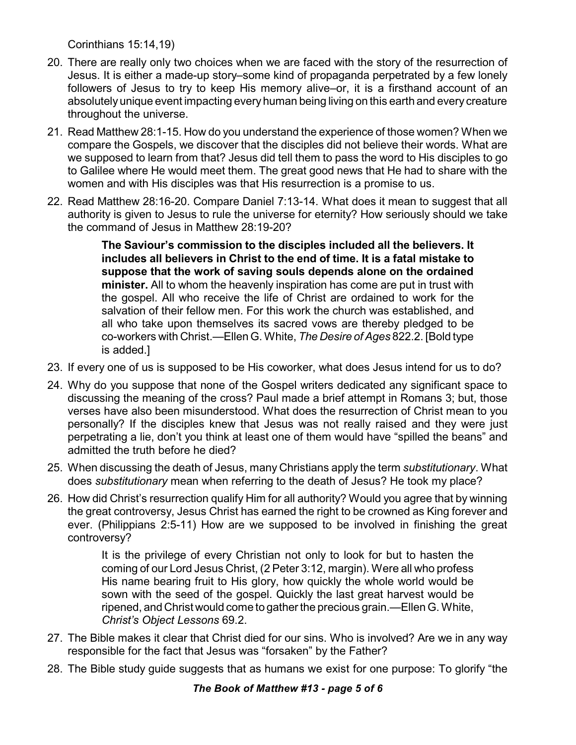Corinthians 15:14,19)

- 20. There are really only two choices when we are faced with the story of the resurrection of Jesus. It is either a made-up story–some kind of propaganda perpetrated by a few lonely followers of Jesus to try to keep His memory alive–or, it is a firsthand account of an absolutely unique event impacting every human being living on this earth and every creature throughout the universe.
- 21. Read Matthew 28:1-15. How do you understand the experience of those women? When we compare the Gospels, we discover that the disciples did not believe their words. What are we supposed to learn from that? Jesus did tell them to pass the word to His disciples to go to Galilee where He would meet them. The great good news that He had to share with the women and with His disciples was that His resurrection is a promise to us.
- 22. Read Matthew 28:16-20. Compare Daniel 7:13-14. What does it mean to suggest that all authority is given to Jesus to rule the universe for eternity? How seriously should we take the command of Jesus in Matthew 28:19-20?

**The Saviour's commission to the disciples included all the believers. It includes all believers in Christ to the end of time. It is a fatal mistake to suppose that the work of saving souls depends alone on the ordained minister.** All to whom the heavenly inspiration has come are put in trust with the gospel. All who receive the life of Christ are ordained to work for the salvation of their fellow men. For this work the church was established, and all who take upon themselves its sacred vows are thereby pledged to be co-workers with Christ.—Ellen G. White, *The Desire of Ages* 822.2. [Bold type is added.]

- 23. If every one of us is supposed to be His coworker, what does Jesus intend for us to do?
- 24. Why do you suppose that none of the Gospel writers dedicated any significant space to discussing the meaning of the cross? Paul made a brief attempt in Romans 3; but, those verses have also been misunderstood. What does the resurrection of Christ mean to you personally? If the disciples knew that Jesus was not really raised and they were just perpetrating a lie, don't you think at least one of them would have "spilled the beans" and admitted the truth before he died?
- 25. When discussing the death of Jesus, many Christians apply the term *substitutionary*. What does *substitutionary* mean when referring to the death of Jesus? He took my place?
- 26. How did Christ's resurrection qualify Him for all authority? Would you agree that by winning the great controversy, Jesus Christ has earned the right to be crowned as King forever and ever. (Philippians 2:5-11) How are we supposed to be involved in finishing the great controversy?

It is the privilege of every Christian not only to look for but to hasten the coming of our Lord Jesus Christ, (2 Peter 3:12, margin). Were all who profess His name bearing fruit to His glory, how quickly the whole world would be sown with the seed of the gospel. Quickly the last great harvest would be ripened, and Christ would come to gather the precious grain.—Ellen G. White, *Christ's Object Lessons* 69.2.

- 27. The Bible makes it clear that Christ died for our sins. Who is involved? Are we in any way responsible for the fact that Jesus was "forsaken" by the Father?
- 28. The Bible study guide suggests that as humans we exist for one purpose: To glorify "the